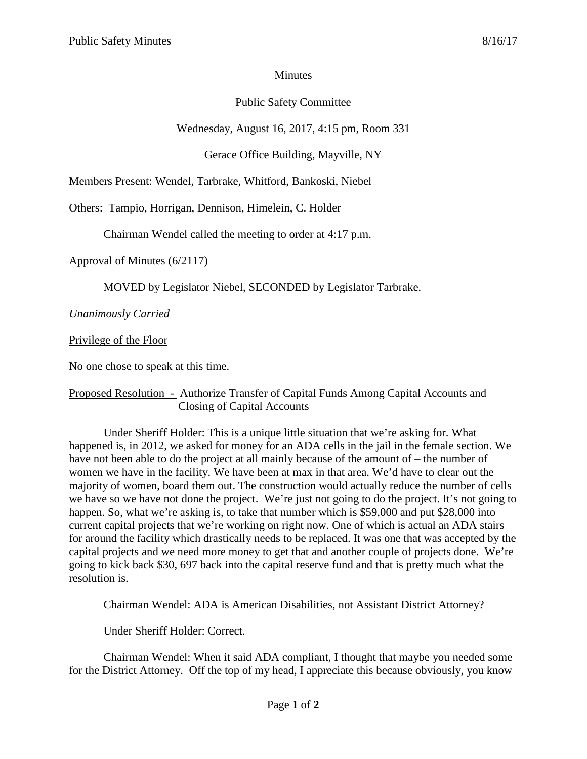## **Minutes**

## Public Safety Committee

Wednesday, August 16, 2017, 4:15 pm, Room 331

Gerace Office Building, Mayville, NY

Members Present: Wendel, Tarbrake, Whitford, Bankoski, Niebel

Others: Tampio, Horrigan, Dennison, Himelein, C. Holder

Chairman Wendel called the meeting to order at 4:17 p.m.

Approval of Minutes (6/2117)

MOVED by Legislator Niebel, SECONDED by Legislator Tarbrake.

*Unanimously Carried*

Privilege of the Floor

No one chose to speak at this time.

## Proposed Resolution - Authorize Transfer of Capital Funds Among Capital Accounts and Closing of Capital Accounts

Under Sheriff Holder: This is a unique little situation that we're asking for. What happened is, in 2012, we asked for money for an ADA cells in the jail in the female section. We have not been able to do the project at all mainly because of the amount of – the number of women we have in the facility. We have been at max in that area. We'd have to clear out the majority of women, board them out. The construction would actually reduce the number of cells we have so we have not done the project. We're just not going to do the project. It's not going to happen. So, what we're asking is, to take that number which is \$59,000 and put \$28,000 into current capital projects that we're working on right now. One of which is actual an ADA stairs for around the facility which drastically needs to be replaced. It was one that was accepted by the capital projects and we need more money to get that and another couple of projects done. We're going to kick back \$30, 697 back into the capital reserve fund and that is pretty much what the resolution is.

Chairman Wendel: ADA is American Disabilities, not Assistant District Attorney?

Under Sheriff Holder: Correct.

Chairman Wendel: When it said ADA compliant, I thought that maybe you needed some for the District Attorney. Off the top of my head, I appreciate this because obviously, you know